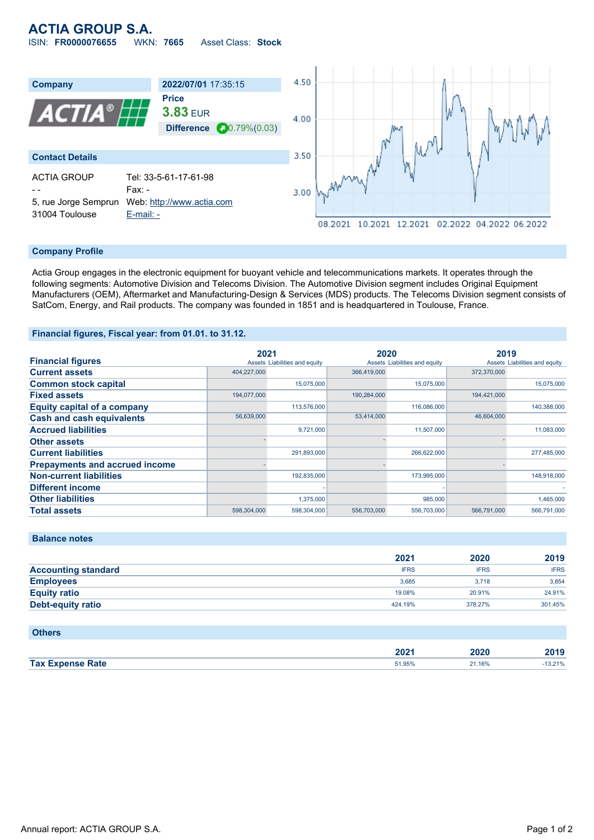# **ACTIA GROUP S.A.**

ISIN: **FR0000076655** WKN: **7665** Asset Class: **Stock**



#### **Company Profile**

Actia Group engages in the electronic equipment for buoyant vehicle and telecommunications markets. It operates through the following segments: Automotive Division and Telecoms Division. The Automotive Division segment includes Original Equipment Manufacturers (OEM), Aftermarket and Manufacturing-Design & Services (MDS) products. The Telecoms Division segment consists of SatCom, Energy, and Rail products. The company was founded in 1851 and is headquartered in Toulouse, France.

#### **Financial figures, Fiscal year: from 01.01. to 31.12.**

|                                       | 2021        |                               | 2020        |                               | 2019        |                               |
|---------------------------------------|-------------|-------------------------------|-------------|-------------------------------|-------------|-------------------------------|
| <b>Financial figures</b>              |             | Assets Liabilities and equity |             | Assets Liabilities and equity |             | Assets Liabilities and equity |
| <b>Current assets</b>                 | 404,227,000 |                               | 366,419,000 |                               | 372,370,000 |                               |
| <b>Common stock capital</b>           |             | 15.075.000                    |             | 15,075,000                    |             | 15,075,000                    |
| <b>Fixed assets</b>                   | 194.077.000 |                               | 190.284.000 |                               | 194.421.000 |                               |
| <b>Equity capital of a company</b>    |             | 113,576,000                   |             | 116,086,000                   |             | 140,388,000                   |
| <b>Cash and cash equivalents</b>      | 56,639,000  |                               | 53,414,000  |                               | 46,604,000  |                               |
| <b>Accrued liabilities</b>            |             | 9,721,000                     |             | 11,507,000                    |             | 11,083,000                    |
| <b>Other assets</b>                   |             |                               |             |                               |             |                               |
| <b>Current liabilities</b>            |             | 291,893,000                   |             | 266,622,000                   |             | 277,485,000                   |
| <b>Prepayments and accrued income</b> |             |                               |             |                               |             |                               |
| <b>Non-current liabilities</b>        |             | 192,835,000                   |             | 173,995,000                   |             | 148.918.000                   |
| <b>Different income</b>               |             |                               |             |                               |             |                               |
| <b>Other liabilities</b>              |             | 1,375,000                     |             | 985,000                       |             | 1,465,000                     |
| <b>Total assets</b>                   | 598,304,000 | 598,304,000                   | 556,703,000 | 556,703,000                   | 566.791.000 | 566,791,000                   |

|                            | 2021        | 2020        | 2019        |
|----------------------------|-------------|-------------|-------------|
| <b>Accounting standard</b> | <b>IFRS</b> | <b>IFRS</b> | <b>IFRS</b> |
| <b>Employees</b>           | 3.685       | 3.718       | 3.854       |
| <b>Equity ratio</b>        | 19.08%      | 20.91%      | 24.91%      |
| <b>Debt-equity ratio</b>   | 424.19%     | 378.27%     | 301.45%     |
|                            |             |             |             |

### **Others**

**Balance notes**

|        | ירחר<br>LVL. | 2020 | 0.40<br>ZU19.                       |
|--------|--------------|------|-------------------------------------|
| Tax Ex | .            | .16% | 3.21%                               |
| Rate   |              |      | the contract of the contract of the |